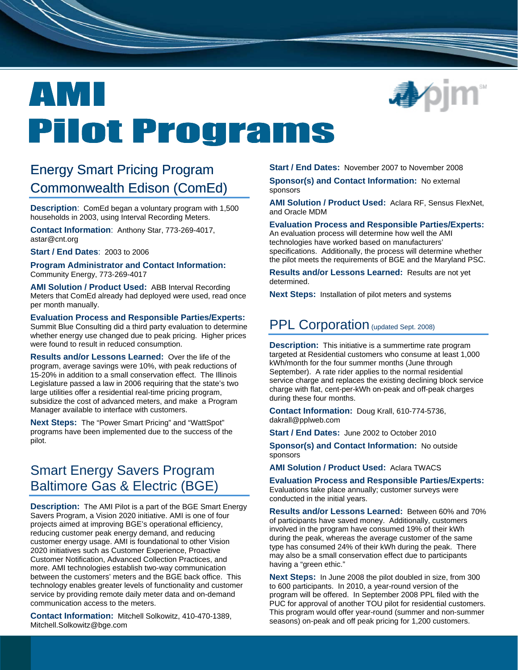

# EN MI **Pilot Programs**

# Energy Smart Pricing Program Commonwealth Edison (ComEd)

**Description**: ComEd began a voluntary program with 1,500 households in 2003, using Interval Recording Meters.

**Contact Information**: Anthony Star, 773-269-4017, astar@cnt.org

**Start / End Dates**: 2003 to 2006

**Program Administrator and Contact Information:** Community Energy, 773-269-4017

**AMI Solution / Product Used:** ABB Interval Recording Meters that ComEd already had deployed were used, read once per month manually.

**Evaluation Process and Responsible Parties/Experts:** Summit Blue Consulting did a third party evaluation to determine whether energy use changed due to peak pricing. Higher prices were found to result in reduced consumption.

**Results and/or Lessons Learned:** Over the life of the program, average savings were 10%, with peak reductions of 15-20% in addition to a small conservation effect. The Illinois Legislature passed a law in 2006 requiring that the state's two large utilities offer a residential real-time pricing program, subsidize the cost of advanced meters, and make a Program Manager available to interface with customers.

**Next Steps:** The "Power Smart Pricing" and "WattSpot" programs have been implemented due to the success of the pilot.

# Smart Energy Savers Program Baltimore Gas & Electric (BGE)

**Description:** The AMI Pilot is a part of the BGE Smart Energy Savers Program, a Vision 2020 initiative. AMI is one of four projects aimed at improving BGE's operational efficiency, reducing customer peak energy demand, and reducing customer energy usage. AMI is foundational to other Vision 2020 initiatives such as Customer Experience, Proactive Customer Notification, Advanced Collection Practices, and more. AMI technologies establish two-way communication between the customers' meters and the BGE back office. This technology enables greater levels of functionality and customer service by providing remote daily meter data and on-demand communication access to the meters.

**Contact Information:** Mitchell Solkowitz, 410-470-1389, Mitchell.Solkowitz@bge.com

**Start / End Dates:** November 2007 to November 2008

**Sponsor(s) and Contact Information:** No external sponsors

**AMI Solution / Product Used:** Aclara RF, Sensus FlexNet, and Oracle MDM

### **Evaluation Process and Responsible Parties/Experts:**

An evaluation process will determine how well the AMI technologies have worked based on manufacturers' specifications. Additionally, the process will determine whether the pilot meets the requirements of BGE and the Maryland PSC.

**Results and/or Lessons Learned:** Results are not yet determined.

**Next Steps:** Installation of pilot meters and systems

## PPL Corporation (updated Sept. 2008)

**Description:** This initiative is a summertime rate program targeted at Residential customers who consume at least 1,000 kWh/month for the four summer months (June through September). A rate rider applies to the normal residential service charge and replaces the existing declining block service charge with flat, cent-per-kWh on-peak and off-peak charges during these four months.

**Contact Information:** Doug Krall, 610-774-5736, dakrall@pplweb.com

**Start / End Dates:** June 2002 to October 2010

**Sponsor(s) and Contact Information:** No outside sponsors

**AMI Solution / Product Used:** Aclara TWACS

**Evaluation Process and Responsible Parties/Experts:** Evaluations take place annually; customer surveys were conducted in the initial years.

**Results and/or Lessons Learned:** Between 60% and 70% of participants have saved money. Additionally, customers involved in the program have consumed 19% of their kWh during the peak, whereas the average customer of the same type has consumed 24% of their kWh during the peak. There may also be a small conservation effect due to participants having a "green ethic."

**Next Steps:** In June 2008 the pilot doubled in size, from 300 to 600 participants. In 2010, a year-round version of the program will be offered. In September 2008 PPL filed with the PUC for approval of another TOU pilot for residential customers. This program would offer year-round (summer and non-summer seasons) on-peak and off peak pricing for 1,200 customers.